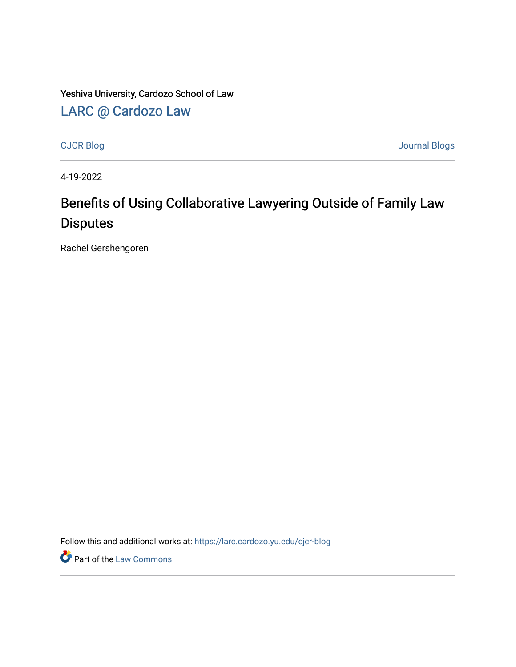Yeshiva University, Cardozo School of Law

[LARC @ Cardozo Law](https://larc.cardozo.yu.edu/)

[CJCR Blog](https://larc.cardozo.yu.edu/cjcr-blog) [Journal Blogs](https://larc.cardozo.yu.edu/journal-blogs) 

4-19-2022

## Benefits of Using Collaborative Lawyering Outside of Family Law Disputes

Rachel Gershengoren

Follow this and additional works at: [https://larc.cardozo.yu.edu/cjcr-blog](https://larc.cardozo.yu.edu/cjcr-blog?utm_source=larc.cardozo.yu.edu%2Fcjcr-blog%2F33&utm_medium=PDF&utm_campaign=PDFCoverPages) 

**P** Part of the [Law Commons](http://network.bepress.com/hgg/discipline/578?utm_source=larc.cardozo.yu.edu%2Fcjcr-blog%2F33&utm_medium=PDF&utm_campaign=PDFCoverPages)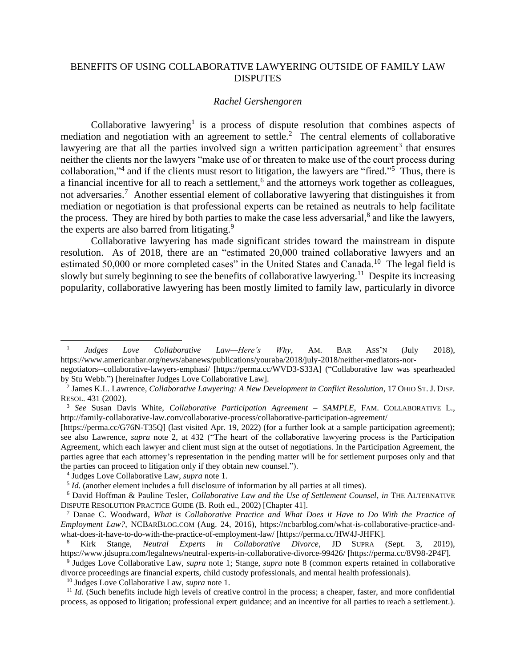## BENEFITS OF USING COLLABORATIVE LAWYERING OUTSIDE OF FAMILY LAW **DISPUTES**

## *Rachel Gershengoren*

Collaborative lawyering<sup>1</sup> is a process of dispute resolution that combines aspects of mediation and negotiation with an agreement to settle.<sup>2</sup> The central elements of collaborative lawyering are that all the parties involved sign a written participation agreement<sup>3</sup> that ensures neither the clients nor the lawyers "make use of or threaten to make use of the court process during collaboration,"<sup>4</sup> and if the clients must resort to litigation, the lawyers are "fired."<sup>5</sup> Thus, there is a financial incentive for all to reach a settlement,<sup>6</sup> and the attorneys work together as colleagues, not adversaries.<sup>7</sup> Another essential element of collaborative lawyering that distinguishes it from mediation or negotiation is that professional experts can be retained as neutrals to help facilitate the process. They are hired by both parties to make the case less adversarial,<sup>8</sup> and like the lawyers, the experts are also barred from litigating.<sup>9</sup>

Collaborative lawyering has made significant strides toward the mainstream in dispute resolution. As of 2018, there are an "estimated 20,000 trained collaborative lawyers and an estimated 50,000 or more completed cases" in the United States and Canada.<sup>10</sup> The legal field is slowly but surely beginning to see the benefits of collaborative lawyering.<sup>11</sup> Despite its increasing popularity, collaborative lawyering has been mostly limited to family law, particularly in divorce

<sup>1</sup> *Judges Love Collaborative Law—Here's Why*, AM. BAR ASS'N (July 2018), https://www.americanbar.org/news/abanews/publications/youraba/2018/july-2018/neither-mediators-nornegotiators--collaborative-lawyers-emphasi/ [https://perma.cc/WVD3-S33A] ("Collaborative law was spearheaded

by Stu Webb.") [hereinafter Judges Love Collaborative Law].

<sup>2</sup> James K.L. Lawrence, *Collaborative Lawyering: A New Development in Conflict Resolution*, 17 OHIO ST. J. DISP. RESOL. 431 (2002).

<sup>3</sup> *See* Susan Davis White, *Collaborative Participation Agreement – SAMPLE*, FAM. COLLABORATIVE L., http://family-collaborative-law.com/collaborative-process/collaborative-participation-agreement/

<sup>[</sup>https://perma.cc/G76N-T35Q] (last visited Apr. 19, 2022) (for a further look at a sample participation agreement); see also Lawrence, *supra* note 2, at 432 ("The heart of the collaborative lawyering process is the Participation Agreement, which each lawyer and client must sign at the outset of negotiations. In the Participation Agreement, the parties agree that each attorney's representation in the pending matter will be for settlement purposes only and that the parties can proceed to litigation only if they obtain new counsel.").

<sup>4</sup> Judges Love Collaborative Law, *supra* note 1.

<sup>&</sup>lt;sup>5</sup> *Id.* (another element includes a full disclosure of information by all parties at all times).

<sup>6</sup> David Hoffman & Pauline Tesler, *Collaborative Law and the Use of Settlement Counsel*, *in* THE ALTERNATIVE DISPUTE RESOLUTION PRACTICE GUIDE (B. Roth ed., 2002) [Chapter 41].

<sup>7</sup> Danae C. Woodward, *What is Collaborative Practice and What Does it Have to Do With the Practice of Employment Law?*, NCBARBLOG.COM (Aug. 24, 2016), https://ncbarblog.com/what-is-collaborative-practice-andwhat-does-it-have-to-do-with-the-practice-of-employment-law/ [https://perma.cc/HW4J-JHFK].

<sup>8</sup> Kirk Stange, *Neutral Experts in Collaborative Divorce*, JD SUPRA (Sept. 3, 2019), https://www.jdsupra.com/legalnews/neutral-experts-in-collaborative-divorce-99426/ [https://perma.cc/8V98-2P4F].

<sup>9</sup> Judges Love Collaborative Law, *supra* note 1; Stange, *supra* note 8 (common experts retained in collaborative divorce proceedings are financial experts, child custody professionals, and mental health professionals).

<sup>10</sup> Judges Love Collaborative Law, *supra* note 1.

<sup>&</sup>lt;sup>11</sup> *Id.* (Such benefits include high levels of creative control in the process; a cheaper, faster, and more confidential process, as opposed to litigation; professional expert guidance; and an incentive for all parties to reach a settlement.).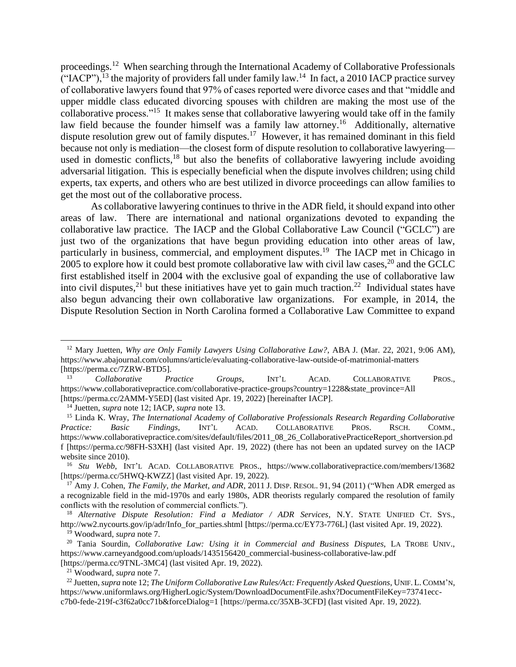proceedings.<sup>12</sup> When searching through the International Academy of Collaborative Professionals  $($ "IACP"),<sup>13</sup> the majority of providers fall under family law.<sup>14</sup> In fact, a 2010 IACP practice survey of collaborative lawyers found that 97% of cases reported were divorce cases and that "middle and upper middle class educated divorcing spouses with children are making the most use of the collaborative process."<sup>15</sup> It makes sense that collaborative lawyering would take off in the family law field because the founder himself was a family law attorney.<sup>16</sup> Additionally, alternative dispute resolution grew out of family disputes.<sup>17</sup> However, it has remained dominant in this field because not only is mediation—the closest form of dispute resolution to collaborative lawyering used in domestic conflicts,<sup>18</sup> but also the benefits of collaborative lawyering include avoiding adversarial litigation. This is especially beneficial when the dispute involves children; using child experts, tax experts, and others who are best utilized in divorce proceedings can allow families to get the most out of the collaborative process.

As collaborative lawyering continues to thrive in the ADR field, it should expand into other areas of law. There are international and national organizations devoted to expanding the collaborative law practice. The IACP and the Global Collaborative Law Council ("GCLC") are just two of the organizations that have begun providing education into other areas of law, particularly in business, commercial, and employment disputes.<sup>19</sup> The IACP met in Chicago in 2005 to explore how it could best promote collaborative law with civil law cases,  $^{20}$  and the GCLC first established itself in 2004 with the exclusive goal of expanding the use of collaborative law into civil disputes,<sup>21</sup> but these initiatives have yet to gain much traction.<sup>22</sup> Individual states have also begun advancing their own collaborative law organizations. For example, in 2014, the Dispute Resolution Section in North Carolina formed a Collaborative Law Committee to expand

<sup>12</sup> Mary Juetten, *Why are Only Family Lawyers Using Collaborative Law?*, ABA J. (Mar. 22, 2021, 9:06 AM), https://www.abajournal.com/columns/article/evaluating-collaborative-law-outside-of-matrimonial-matters [https://perma.cc/7ZRW-BTD5].

<sup>13</sup> *Collaborative Practice Groups*, INT'L ACAD. COLLABORATIVE PROS., https://www.collaborativepractice.com/collaborative-practice-groups?country=1228&state\_province=All [https://perma.cc/2AMM-Y5ED] (last visited Apr. 19, 2022) [hereinafter IACP].

<sup>14</sup> Juetten, *supra* note 12; IACP, *supra* note 13.

<sup>15</sup> Linda K. Wray, *The International Academy of Collaborative Professionals Research Regarding Collaborative Practice: Basic Findings*, INT'L ACAD. COLLABORATIVE PROS. RSCH. COMM., https://www.collaborativepractice.com/sites/default/files/2011\_08\_26\_CollaborativePracticeReport\_shortversion.pd f [https://perma.cc/98FH-S3XH] (last visited Apr. 19, 2022) (there has not been an updated survey on the IACP website since 2010).

<sup>16</sup> *Stu Webb*, INT'L ACAD. COLLABORATIVE PROS., https://www.collaborativepractice.com/members/13682 [https://perma.cc/5HWQ-KWZZ] (last visited Apr. 19, 2022).

<sup>&</sup>lt;sup>17</sup> Amy J. Cohen, *The Family, the Market, and ADR*, 2011 J. DISP. RESOL. 91, 94 (2011) ("When ADR emerged as a recognizable field in the mid-1970s and early 1980s, ADR theorists regularly compared the resolution of family conflicts with the resolution of commercial conflicts.").

<sup>18</sup> *Alternative Dispute Resolution: Find a Mediator / ADR Services,* N.Y. STATE UNIFIED CT. SYS., http://ww2.nycourts.gov/ip/adr/Info\_for\_parties.shtml [https://perma.cc/EY73-776L] (last visited Apr. 19, 2022). <sup>19</sup> Woodward, *supra* note 7.

<sup>20</sup> Tania Sourdin, *Collaborative Law: Using it in Commercial and Business Disputes*, LA TROBE UNIV., https://www.carneyandgood.com/uploads/1435156420\_commercial-business-collaborative-law.pdf [https://perma.cc/9TNL-3MC4] (last visited Apr. 19, 2022).

<sup>21</sup> Woodward, *supra* note 7.

<sup>22</sup> Juetten, *supra* note 12; *The Uniform Collaborative Law Rules/Act: Frequently Asked Questions*, UNIF. L.COMM'N, https://www.uniformlaws.org/HigherLogic/System/DownloadDocumentFile.ashx?DocumentFileKey=73741eccc7b0-fede-219f-c3f62a0cc71b&forceDialog=1 [https://perma.cc/35XB-3CFD] (last visited Apr. 19, 2022).